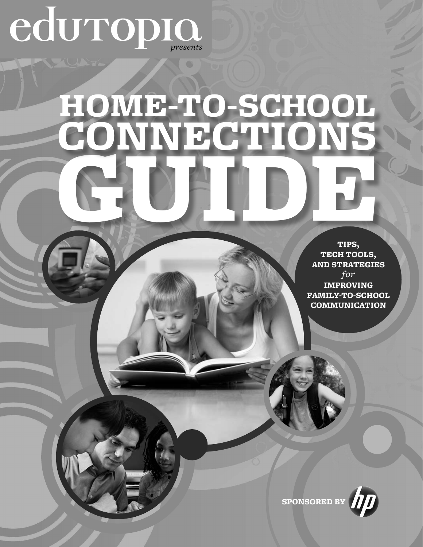# eduropio.

# HOME-TO-SCHOOL GUIDE, CONNECTIONS

TIPS, TECH TOOLS, AND STRATEGIES *for*  IMPROVING FAMILY-TO-SCHOOL

COMMUNICATION

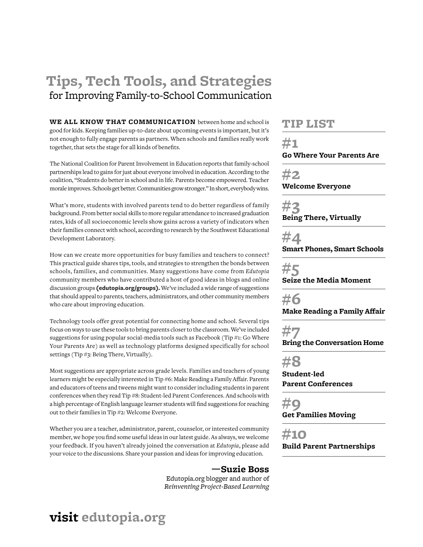# **Tips, Tech Tools, and Strategies** for Improving Family-to-School Communication

**WE ALL KNOW THAT COMMUNICATION** between home and school is good for kids. Keeping families up-to-date about upcoming events is important, but it's not enough to fully engage parents as partners. When schools and families really work together, that sets the stage for all kinds of benefits.

The National Coalition for Parent Involvement in Education reports that family-school partnerships lead to gains for just about everyone involved in education. According to the coalition, "Students do better in school and in life. Parents become empowered. Teacher morale improves. Schools get better. Communities grow stronger." In short, everybody wins.

What's more, students with involved parents tend to do better regardless of family background. From better social skills to more regular attendance to increased graduation rates, kids of all socioeconomic levels show gains across a variety of indicators when their families connect with school, according to research by the Southwest Educational Development Laboratory.

How can we create more opportunities for busy families and teachers to connect? This practical guide shares tips, tools, and strategies to strengthen the bonds between schools, families, and communities. Many suggestions have come from *Edutopia* community members who have contributed a host of good ideas in blogs and online discussion groups **[\(edutopia.org/groups](http://www.edutopia.org/groups)).** We've included a wide range of suggestions that should appeal to parents, teachers, administrators, and other community members who care about improving education.

Technology tools offer great potential for connecting home and school. Several tips focus on ways to use these tools to bring parents closer to the classroom. We've included suggestions for using popular social-media tools such as Facebook (Tip #1: Go Where Your Parents Are) as well as technology platforms designed specifically for school settings (Tip #3: Being There, Virtually).

Most suggestions are appropriate across grade levels. Families and teachers of young learners might be especially interested in Tip #6: Make Reading a Family Affair. Parents and educators of teens and tweens might want to consider including students in parent conferences when they read Tip #8: Student-led Parent Conferences. And schools with a high percentage of English language learner students will find suggestions for reaching out to their families in Tip #2: Welcome Everyone.

Whether you are a teacher, administrator, parent, counselor, or interested community member, we hope you find some useful ideas in our latest guide. As always, we welcome your feedback. If you haven't already joined the conversation at *Edutopia*, please add your voice to the discussions. Share your passion and ideas for improving education.

### **—Suzie Boss**

Edutopia.org blogger and author of *Reinventing Project-Based Learning*

### TIP LIST

**#1 Go Where Your Parents Are**

**#2**

**Welcome Everyone**

**#3 Being There, Virtually**

**#4 Smart Phones, Smart Schools**

**#5 Seize the Media Moment**

**#6 Make Reading a Family Affair**

**#7**

**Bring the Conversation Home**

**#8 Student-led** 

**Parent Conferences**

**#9 Get Families Moving** 

**#10 Build Parent Partnerships**

### **visit [edutopia.org](http://www.edutopia.org)**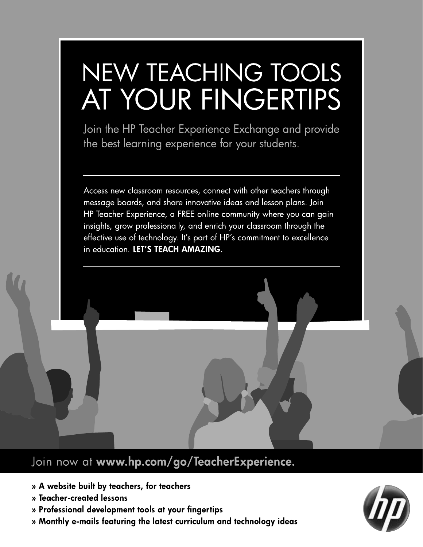# NEW TEACHING TOOLS AT YOUR FINGERTIPS

Join the HP Teacher Experience Exchange and provide the best learning experience for your students.

Access new classroom resources, connect with other teachers through message boards, and share innovative ideas and lesson plans. Join HP Teacher Experience, a FREE online community where you can gain insights, grow professionally, and enrich your classroom through the effective use of technology. It's part of HP's commitment to excellence in education. LET'S TEACH AMAZING.

### Join now at www.hp.com/go/TeacherExperience.

- » A website built by teachers, for teachers
- » Teacher-created lessons
- » Professional development tools at your fingertips
- » Monthly e-mails featuring the latest curriculum and technology ideas

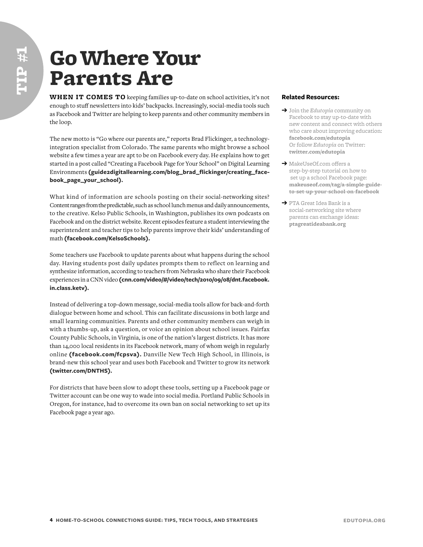### Go Where Your Parents Are

**WHEN IT COMES TO** keeping families up-to-date on school activities, it's not enough to stuff newsletters into kids' backpacks. Increasingly, social-media tools such as Facebook and Twitter are helping to keep parents and other community members in the loop.

The new motto is "Go where our parents are," reports Brad Flickinger, a technologyintegration specialist from Colorado. The same parents who might browse a school website a few times a year are apt to be on Facebook every day. He explains how to get started in a post called "Creating a Facebook Page for Your School" on Digital Learning Environments **([guide2digitallearning.com/blog\\_brad\\_flickinger/creating\\_face](http://www.guide2digitallearning.com/blog_brad_flickinger/creating_facebook_page_your_school)[book\\_page\\_your\\_school\)](http://www.guide2digitallearning.com/blog_brad_flickinger/creating_facebook_page_your_school).**

What kind of information are schools posting on their social-networking sites? Content ranges from the predictable, such as school lunch menus and daily announcements, to the creative. Kelso Public Schools, in Washington, publishes its own podcasts on Facebook and on the district website. Recent episodes feature a student interviewing the superintendent and teacher tips to help parents improve their kids' understanding of math **([facebook.com/KelsoSchools\)](http://www.facebook.com/KelsoSchools).**

Some teachers use Facebook to update parents about what happens during the school day. Having students post daily updates prompts them to reflect on learning and synthesize information, according to teachers from Nebraska who share their Facebook experiences in a CNN video **[\(cnn.com/video/#/video/tech/2010/09/08/dnt.facebook.](http://www.cnn.com/video/#/video/tech/2010/09/08/dnt.facebook.in.class.ketv) [in.class.ketv\)](http://www.cnn.com/video/#/video/tech/2010/09/08/dnt.facebook.in.class.ketv).**

Instead of delivering a top-down message, social-media tools allow for back-and-forth dialogue between home and school. This can facilitate discussions in both large and small learning communities. Parents and other community members can weigh in with a thumbs-up, ask a question, or voice an opinion about school issues. Fairfax County Public Schools, in Virginia, is one of the nation's largest districts. It has more than 14,000 local residents in its Facebook network, many of whom weigh in regularly online **([facebook.com/fcpsva](http://www.facebook.com/fcpsva)).** Danville New Tech High School, in Illinois, is brand-new this school year and uses both Facebook and Twitter to grow its network **([twitter.com/DNTHS](http://twitter.com/DNTHS)).**

For districts that have been slow to adopt these tools, setting up a Facebook page or Twitter account can be one way to wade into social media. Portland Public Schools in Oregon, for instance, had to overcome its own ban on social networking to set up its Facebook page a year ago.

- ➔ Join the *Edutopia* community on Facebook to stay up-to-date with new content and connect with others who care about improving education: **[facebook.com/edutopia](http://www.facebook.com/edutopia)** Or follow *Edutopia* on Twitter: **[twitter.com/edutopia](http://www.twitter.com/edutopia)**
- → MakeUseOf.com offers a step-by-step tutorial on how to set up a school Facebook page: **[makeuseof.com/tag/a-simple-guide](http://www.makeuseof.com/tag/a- simple-guide-to-set-up-your- school-on-facebook )[to-set-up-your-school-on-facebook](http://www.makeuseof.com/tag/a- simple-guide-to-set-up-your- school-on-facebook )**
- ➔ PTA Great Idea Bank is a social-networking site where parents can exchange ideas: **[ptagreatideabank.org](http://www.edutopia.org/groups)**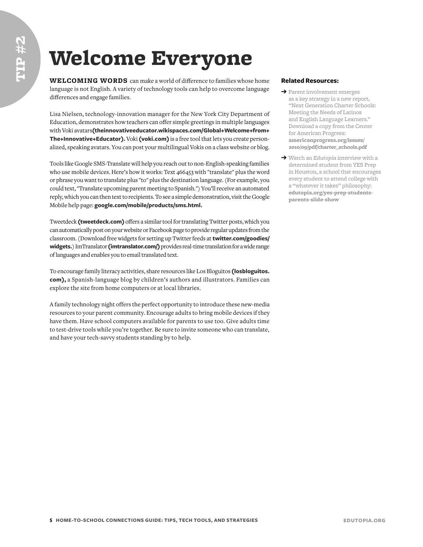## Welcome Everyone

**WELCOMING WORDS** can make a world of difference to families whose home language is not English. A variety of technology tools can help to overcome language differences and engage families.

Lisa Nielsen, technology-innovation manager for the New York City Department of Education, demonstrates how teachers can offer simple greetings in multiple languages with Voki avatars**[\(theinnovativeeducator.wikispaces.com/Global+Welcome+from+](http://theinnovativeeducator.wikispaces.com/Global+Welcome+from+The+Innovative+Educator) [The+Innovative+Educator](http://theinnovativeeducator.wikispaces.com/Global+Welcome+from+The+Innovative+Educator)).** Voki **([voki.com](http://www.voki.com))** is a free tool that lets you create personalized, speaking avatars. You can post your multilingual Vokis on a class website or blog.

Tools like Google SMS-Translate will help you reach out to non-English-speaking families who use mobile devices. Here's how it works: Text 466453 with "translate" plus the word or phrase you want to translate plus "to" plus the destination language. (For example, you could text, "Translate upcoming parent meeting to Spanish.") You'll receive an automated reply, which you can then text to recipients. To see a simple demonstration, visit the Google Mobile help page: **[google.com/mobile/products/sms.html](http://www.google.com/mobile/products/sms.html).**

Tweetdeck **(tweetdeck.com)** offers a similar tool for translating Twitter posts, which you can automatically post on your website or Facebook page to provide regular updates from the classroom. (Download free widgets for setting up Twitter feeds at **[twitter.com/goodies/](https://twitter.com/goodies/widgets) [widgets.](https://twitter.com/goodies/widgets)**) ImTranslator **[\(imtranslator.com/\)](http://imtranslator.com/)** provides real-time translation for a wide range of languages and enables you to email translated text.

To encourage family literacy activities, share resources like Los Bloguitos **[\(losbloguitos.](http://www.losbloguitos.com) [com](http://www.losbloguitos.com)),** a Spanish-language blog by children's authors and illustrators. Families can explore the site from home computers or at local libraries.

A family technology night offers the perfect opportunity to introduce these new-media resources to your parent community. Encourage adults to bring mobile devices if they have them. Have school computers available for parents to use too. Give adults time to test-drive tools while you're together. Be sure to invite someone who can translate, and have your tech-savvy students standing by to help.

- ➔ Parent involvement emerges as a key strategy in a new report, "Next Generation Charter Schools: Meeting the Needs of Latinos and English Language Learners." Download a copy from the Center for American Progress: **[americanprogress.org/issues/](http://www.americanprogress.org/issues/2010/09/pdf/charter_schools.pdf) [2010/09/pdf/charter\\_schools.pdf](http://www.americanprogress.org/issues/2010/09/pdf/charter_schools.pdf)**
- ➔ Watch an *Edutopia* interview with a determined student from YES Prep in Houston, a school that encourages every student to attend college with a "whatever it takes" philosophy: **[edutopia.org/yes-prep-students](http://www.edutopia.org/yes-prep-students-parents-slide-show)[parents-slide-show](http://www.edutopia.org/yes-prep-students-parents-slide-show)**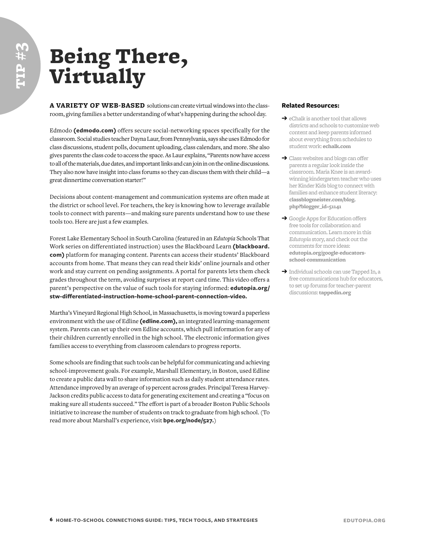**tip # 3**

## Being There, Virtually

**A VARIETY OF WEB-BASED** solutions can create virtual windows into the classroom, giving families a better understanding of what's happening during the school day.

Edmodo **[\(edmodo.com](http://www.edmodo.com))** offers secure social-networking spaces specifically for the classroom. Social studies teacher Dayna Laur, from Pennsylvania, says she uses Edmodo for class discussions, student polls, document uploading, class calendars, and more. She also gives parents the class code to access the space. As Laur explains, "Parents now have access to all of the materials, due dates, and important links and can join in on the online discussions. They also now have insight into class forums so they can discuss them with their child—a great dinnertime conversation starter!"

Decisions about content-management and communication systems are often made at the district or school level. For teachers, the key is knowing how to leverage available tools to connect with parents—and making sure parents understand how to use these tools too. Here are just a few examples.

Forest Lake Elementary School in South Carolina (featured in an *Edutopia* Schools That Work series on differentiated instruction) uses the Blackboard Learn **([blackboard.](http://www.blackboard.com) [com\)](http://www.blackboard.com)** platform for managing content. Parents can access their students' Blackboard accounts from home. That means they can read their kids' online journals and other work and stay current on pending assignments. A portal for parents lets them check grades throughout the term, avoiding surprises at report card time. This video offers a parent's perspective on the value of such tools for staying informed: **[edutopia.org/](http://www.edutopia.org/stw-differentiated-instruction-home-school-parent-connection-video) [stw-differentiated-instruction-home-school-parent-connection-video](http://www.edutopia.org/stw-differentiated-instruction-home-school-parent-connection-video).**

Martha's Vineyard Regional High School, in Massachusetts, is moving toward a paperless environment with the use of Edline **[\(edline.com](http://www.edline.com)),** an integrated learning-management system. Parents can set up their own Edline accounts, which pull information for any of their children currently enrolled in the high school. The electronic information gives families access to everything from classroom calendars to progress reports.

Some schools are finding that such tools can be helpful for communicating and achieving school-improvement goals. For example, Marshall Elementary, in Boston, used Edline to create a public data wall to share information such as daily student attendance rates. Attendance improved by an average of 19 percent across grades. Principal Teresa Harvey-Jackson credits public access to data for generating excitement and creating a "focus on making sure all students succeed." The effort is part of a broader Boston Public Schools initiative to increase the number of students on track to graduate from high school. (To read more about Marshall's experience, visit **[bpe.org/node/527](http://www.bpe.org/node/527).**)

- $\rightarrow$  eChalk is another tool that allows districts and schools to customize web content and keep parents informed about everything from schedules to student work: **[echalk.com](http://www.echalk.com)**
- **→** Class websites and blogs can offer parents a regular look inside the classroom. Maria Knee is an awardwinning kindergarten teacher who uses her Kinder Kids blog to connect with families and enhance student literacy: **[classblogmeister.com/blog.](http://classblogmeister.com/blog.php?blogger_id=51141) [php?blogger\\_id=51141](http://classblogmeister.com/blog.php?blogger_id=51141)**
- **→** Google Apps for Education offers free tools for collaboration and communication. Learn more in this *Edutopia* story, and check out the comments for more ideas: **[edutopia.org/google-educators](http://www.edutopia.org/google-educators-school-communication)[school-communication](http://www.edutopia.org/google-educators-school-communication)**
- ➔ Individual schools can use Tapped In, a free communications hub for educators, to set up forums for teacher-parent discussions: **[tappedin.org](http://tappedin.org)**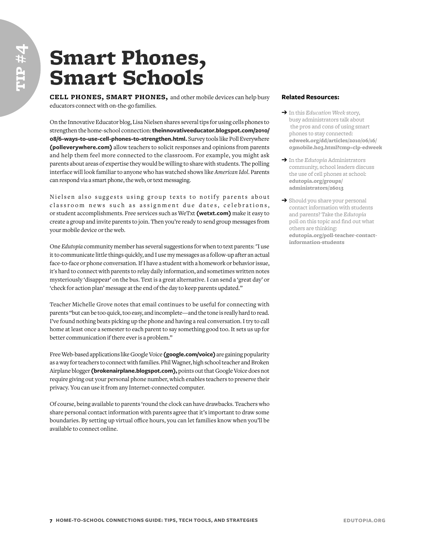### Smart Phones, Smart Schools

**CELL PHONES, SMART PHONES,** and other mobile devices can help busy educators connect with on-the-go families.

On the Innovative Educator blog, Lisa Nielsen shares several tips for using cells phones to strengthen the home-school connection: **[theinnovativeeducator.blogspot.com/2010/](http://theinnovativeeducator.blogspot.com/2010/08/6-ways-to-use-cell-phones-to-strengthen.html) [08/6-ways-to-use-cell-phones-to-strengthen.html.](http://theinnovativeeducator.blogspot.com/2010/08/6-ways-to-use-cell-phones-to-strengthen.html)** Survey tools like Poll Everywhere **([polleverywhere.com\)](http://www.polleverywhere.com)** allow teachers to solicit responses and opinions from parents and help them feel more connected to the classroom. For example, you might ask parents about areas of expertise they would be willing to share with students. The polling interface will look familiar to anyone who has watched shows like *American Idol*. Parents can respond via a smart phone, the web, or text messaging.

Nielsen also suggests using group texts to notify parents about classroom news such as assignment due dates, celebrations, or student accomplishments. Free services such as WeTxt **[\(wetxt.com\)](http://www.wetxt.com)** make it easy to create a group and invite parents to join. Then you're ready to send group messages from your mobile device or the web.

One *Edutopia* community member has several suggestions for when to text parents: "I use it to communicate little things quickly, and I use my messages as a follow-up after an actual face-to-face or phone conversation. If I have a student with a homework or behavior issue, it's hard to connect with parents to relay daily information, and sometimes written notes mysteriously 'disappear' on the bus. Text is a great alternative. I can send a 'great day' or 'check for action plan' message at the end of the day to keep parents updated."

Teacher Michelle Grove notes that email continues to be useful for connecting with parents "but can be too quick, too easy, and incomplete—and the tone is really hard to read. I've found nothing beats picking up the phone and having a real conversation. I try to call home at least once a semester to each parent to say something good too. It sets us up for better communication if there ever is a problem."

Free Web-based applications like Google Voice **[\(google.com/voice](http://www.google.com/voice))** are gaining popularity as a way for teachers to connect with families. Phil Wagner, high school teacher and Broken Airplane blogger **([brokenairplane.blogspot.com\)](http://brokenairplane.blogspot.com),** points out that Google Voice does not require giving out your personal phone number, which enables teachers to preserve their privacy. You can use it from any Internet-connected computer.

Of course, being available to parents 'round the clock can have drawbacks. Teachers who share personal contact information with parents agree that it's important to draw some boundaries. By setting up virtual office hours, you can let families know when you'll be available to connect online.

- ➔ In this *Education Week* story, busy administrators talk about the pros and cons of using smart phones to stay connected: **[edweek.org/dd/articles/2010/06/16/](http://www.edweek.org/dd/articles/2010/06/16/03mobile.h03.html?cmp=clp-edweek) [03mobile.h03.html?cmp=clp-edweek](http://www.edweek.org/dd/articles/2010/06/16/03mobile.h03.html?cmp=clp-edweek)**
- ➔ In the *Edutopia* Administrators community, school leaders discuss the use of cell phones at school: **[edutopia.org/groups/](http://www.edutopia.org/groups/administrators/26013) [administrators/26013](http://www.edutopia.org/groups/administrators/26013)**
- **→** Should you share your personal contact information with students and parents? Take the *Edutopia* poll on this topic and find out what others are thinking: **[edutopia.org/poll-teacher-contact](http://www.edutopia.org/poll-teacher-contact-information-students)[information-students](http://www.edutopia.org/poll-teacher-contact-information-students)**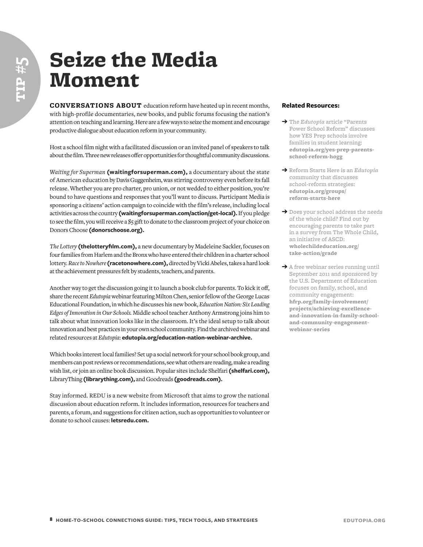### Seize the Media Moment

**CONVERSATIONS ABOUT** education reform have heated up in recent months, with high-profile documentaries, new books, and public forums focusing the nation's attention on teaching and learning. Here are a few ways to seize the moment and encourage productive dialogue about education reform in your community.

Host a school film night with a facilitated discussion or an invited panel of speakers to talk about the film. Three new releases offer opportunities for thoughtful community discussions.

*Waiting for Superman* **([waitingforsuperman.com](http://www.waitingforsuperman.com)),** a documentary about the state of American education by Davis Guggenheim, was stirring controversy even before its fall release. Whether you are pro charter, pro union, or not wedded to either position, you're bound to have questions and responses that you'll want to discuss. Participant Media is sponsoring a citizens' action campaign to coincide with the film's release, including local activities across the country **([waitingforsuperman.com/action/get-local](http://www.waitingforsuperman.com/action/get-local)).** If you pledge to see the film, you will receive a \$5 gift to donate to the classroom project of your choice on Donors Choose **[\(donorschoose.org\)](http://www.donorschoose.org).**

*The Lottery* **([thelotteryfilm.com\)](http://thelotteryfilm.com),** a new documentary by Madeleine Sackler, focuses on four families from Harlem and the Bronx who have entered their children in a charter school lottery. *Race to Nowhere* **([racetonowhere.com](http://www.racetonowhere.com)),** directed by Vicki Abeles, takes a hard look at the achievement pressures felt by students, teachers, and parents.

Another way to get the discussion going it to launch a book club for parents. To kick it off, share the recent *Edutopia* webinar featuring Milton Chen, senior fellow of the George Lucas Educational Foundation, in which he discusses his new book, *Education Nation: Six Leading Edges of Innovation in Our Schools.* Middle school teacher Anthony Armstrong joins him to talk about what innovation looks like in the classroom. It's the ideal setup to talk about innovation and best practices in your own school community. Find the archived webinar and related resources at *Edutopia*: **[edutopia.org/education-nation-webinar-archive.](http://www.edutopia.org/education-nation-webinar-archive)**

Which books interest local families? Set up a social network for your school book group, and members can post reviews or recommendations, see what others are reading, make a reading wish list, or join an online book discussion. Popular sites include Shelfari **([shelfari.com\)](http://www.shelfari.com),** LibraryThing **[\(librarything.com](http://www.librarything.com)),** and Goodreads **([goodreads.com](http://www.goodreads.com)).**

Stay informed. REDU is a new website from Microsoft that aims to grow the national discussion about education reform. It includes information, resources for teachers and parents, a forum, and suggestions for citizen action, such as opportunities to volunteer or donate to school causes: **[letsredu.com](http://www.letsredu.com).** 

- ➔ The *Edutopia* article "Parents Power School Reform" discusses how YES Prep schools involve families in student learning: **[edutopia.org/yes-prep-parents](http://www.edutopia.org/yes-prep-parents-school-reform-hogg)[school-reform-hogg](http://www.edutopia.org/yes-prep-parents-school-reform-hogg)**
- ➔ Reform Starts Here is an *Edutopia* community that discusses school-reform strategies: **[edutopia.org/groups/](http://www.edutopia.org/groups/reform-starts-here) [reform-starts-here](http://www.edutopia.org/groups/reform-starts-here)**
- ➔ Does your school address the needs of the whole child? Find out by encouraging parents to take part in a survey from The Whole Child, an initiative of ASCD: **[wholechildeducation.org/](http://www.wholechildeducation.org/take-action/grade) [take-action/grade](http://www.wholechildeducation.org/take-action/grade)**
- **→** A free webinar series running until September 2011 and sponsored by the U.S. Department of Education focuses on family, school, and community engagement: **[hfrp.org/family-involvement/](http://www.hfrp.org/family-involvement/projects/achieving-excellence-and-innovation-in-family-school-and-community-engagement-webinar-series) [projects/achieving-excellence](http://www.hfrp.org/family-involvement/projects/achieving-excellence-and-innovation-in-family-school-and-community-engagement-webinar-series)[and-innovation-in-family-school](http://www.hfrp.org/family-involvement/projects/achieving-excellence-and-innovation-in-family-school-and-community-engagement-webinar-series)[and-community-engagement](http://www.hfrp.org/family-involvement/projects/achieving-excellence-and-innovation-in-family-school-and-community-engagement-webinar-series)[webinar-series](http://www.hfrp.org/family-involvement/projects/achieving-excellence-and-innovation-in-family-school-and-community-engagement-webinar-series)**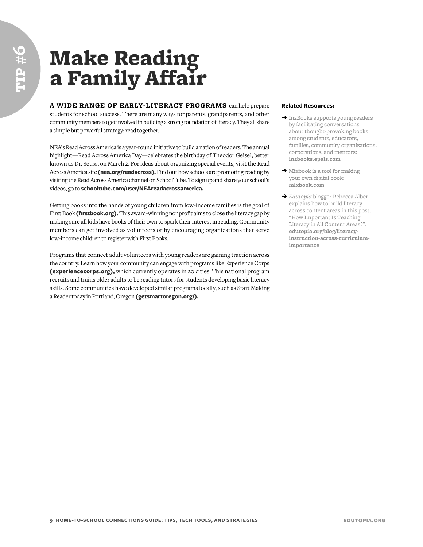## Make Reading a Family Affair

**A WIDE RANGE OF EARLY-LITERACY PROGRAMS** can help prepare students for school success. There are many ways for parents, grandparents, and other community members to get involved in building a strong foundation of literacy. They all share a simple but powerful strategy: read together.

NEA's Read Across America is a year-round initiative to build a nation of readers. The annual highlight—Read Across America Day—celebrates the birthday of Theodor Geisel, better known as Dr. Seuss, on March 2. For ideas about organizing special events, visit the Read Across America site **[\(nea.org/readacross\)](http://www.nea.org/readacross).** Find out how schools are promoting reading by visiting the Read Across America channel on SchoolTube. To sign up and share your school's videos, go to **[schooltube.com/user/NEAreadacrossamerica](http://www.schooltube.com/user/NEAreadacrossamerica).** 

Getting books into the hands of young children from low-income families is the goal of First Book **([firstbook.org](http://www.firstbook.org)).** This award-winning nonprofit aims to close the literacy gap by making sure all kids have books of their own to spark their interest in reading. Community members can get involved as volunteers or by encouraging organizations that serve low-income children to register with First Books.

Programs that connect adult volunteers with young readers are gaining traction across the country. Learn how your community can engage with programs like Experience Corps **([experiencecorps.org\)](http://www.experiencecorps.org),** which currently operates in 20 cities. This national program recruits and trains older adults to be reading tutors for students developing basic literacy skills. Some communities have developed similar programs locally, such as Start Making a Reader today in Portland, Oregon **[\(getsmartoregon.org/](http://www.getsmartoregon.org/)).**

- → In2Books supports young readers by facilitating conversations about thought-provoking books among students, educators, families, community organizations, corporations, and mentors: **[in2books.epals.com](http://in2books.epals.com)**
- ➔ Mixbook is a tool for making your own digital book: **[mixbook.com](http://www.mixbook.com)**
- ➔ *Edutopia* blogger Rebecca Alber explains how to build literacy across content areas in this post, "How Important Is Teaching Literacy in All Content Areas?": **[edutopia.org/blog/literacy](http://www.edutopia.org/blog/literacy-instruction-across-curriculum-importance)[instruction-across-curriculum](http://www.edutopia.org/blog/literacy-instruction-across-curriculum-importance)[importance](http://www.edutopia.org/blog/literacy-instruction-across-curriculum-importance)**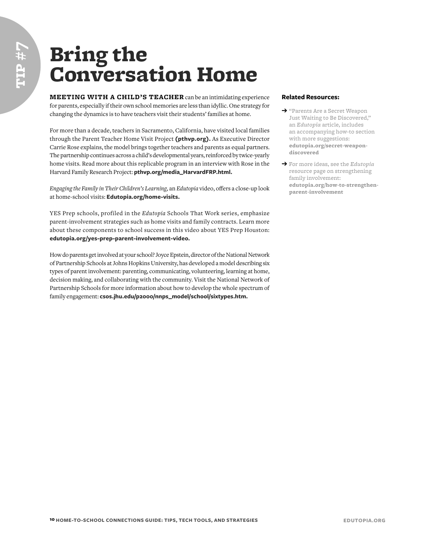## Bring the Conversation Home

**MEETING WITH A CHILD'S TEACHER** can be an intimidating experience for parents, especially if their own school memories are less than idyllic. One strategy for changing the dynamics is to have teachers visit their students' families at home.

For more than a decade, teachers in Sacramento, California, have visited local families through the Parent Teacher Home Visit Project **([pthvp.org\)](http://www.pthvp.org).** As Executive Director Carrie Rose explains, the model brings together teachers and parents as equal partners. The partnership continues across a child's developmental years, reinforced by twice-yearly home visits. Read more about this replicable program in an interview with Rose in the Harvard Family Research Project: **[pthvp.org/media\\_HarvardFRP.html.](http://www.pthvp.org/media_HarvardFRP.html)**

*Engaging the Family in Their Children's Learning,* an *Edutopia* video, offers a close-up look at home-school visits: **[Edutopia.org/home-visits.](http://www.Edutopia.org/home-visits)**

YES Prep schools, profiled in the *Edutopia* Schools That Work series, emphasize parent-involvement strategies such as home visits and family contracts. Learn more about these components to school success in this video about YES Prep Houston: **[edutopia.org/yes-prep-parent-involvement-video](http://www.edutopia.org/yes-prep-parent-involvement-video).**

How do parents get involved at your school? Joyce Epstein, director of the National Network of Partnership Schools at Johns Hopkins University, has developed a model describing six types of parent involvement: parenting, communicating, volunteering, learning at home, decision making, and collaborating with the community. Visit the National Network of Partnership Schools for more information about how to develop the whole spectrum of family engagement: **[csos.jhu.edu/p2000/nnps\\_model/school/sixtypes.htm](http://www.csos.jhu.edu/p2000/nnps_model/school/sixtypes.htm).**

- ➔ "Parents Are a Secret Weapon Just Waiting to Be Discovered," an *Edutopia* article, includes an accompanying how-to section with more suggestions: **[edutopia.org/secret-weapon](http://www.edutopia.org/secret-weapon-discovered)[discovered](http://www.edutopia.org/secret-weapon-discovered)**
- ➔ For more ideas, see the *Edutopia* resource page on strengthening family involvement: **[edutopia.org/how-to-strengthen](http://www.edutopia.org/how-to-strengthen-parent-involvement)[parent-involvement](http://www.edutopia.org/how-to-strengthen-parent-involvement)**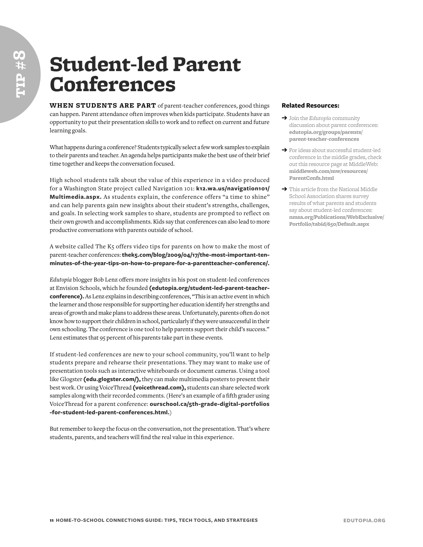### Student-led Parent Conferences

**WHEN STUDENTS ARE PART** of parent-teacher conferences, good things can happen. Parent attendance often improves when kids participate. Students have an opportunity to put their presentation skills to work and to reflect on current and future learning goals.

What happens during a conference? Students typically select a few work samples to explain to their parents and teacher. An agenda helps participants make the best use of their brief time together and keeps the conversation focused.

High school students talk about the value of this experience in a video produced for a Washington State project called Navigation 101: **[k12.wa.us/navigation101/](http://www.k12.wa.us/navigation101/Multimedia.aspx) [Multimedia.aspx.](http://www.k12.wa.us/navigation101/Multimedia.aspx)** As students explain, the conference offers "a time to shine" and can help parents gain new insights about their student's strengths, challenges, and goals. In selecting work samples to share, students are prompted to reflect on their own growth and accomplishments. Kids say that conferences can also lead to more productive conversations with parents outside of school.

A website called The K5 offers video tips for parents on how to make the most of parent-teacher conferences: **[thek5.com/blog/2009/04/17/the-most-important-ten](http://thek5.com/blog/2009/04/17/the-most-important-ten-minutes-of-the-year-tips-on-how-to-prepare-for-a-parentteacher-conference/)[minutes-of-the-year-tips-on-how-to-prepare-for-a-parentteacher-conference/.](http://thek5.com/blog/2009/04/17/the-most-important-ten-minutes-of-the-year-tips-on-how-to-prepare-for-a-parentteacher-conference/)**

*Edutopia* blogger Bob Lenz offers more insights in his post on student-led conferences at Envision Schools, which he founded **([edutopia.org/student-led-parent-teacher](http://www.edutopia.org/student-led-parent-teacher-conference)[conference\)](http://www.edutopia.org/student-led-parent-teacher-conference).** As Lenz explains in describing conferences, "This is an active event in which the learner and those responsible for supporting her education identify her strengths and areas of growth and make plans to address these areas. Unfortunately, parents often do not know how to support their children in school, particularly if they were unsuccessful in their own schooling. The conference is one tool to help parents support their child's success." Lenz estimates that 95 percent of his parents take part in these events.

If student-led conferences are new to your school community, you'll want to help students prepare and rehearse their presentations. They may want to make use of presentation tools such as interactive whiteboards or document cameras. Using a tool like Glogster **([edu.glogster.com/](http://edu.glogster.com/)),** they can make multimedia posters to present their best work. Or using VoiceThread **([voicethread.com](http://voicethread.com)),** students can share selected work samples along with their recorded comments. (Here's an example of a fifth grader using VoiceThread for a parent conference: **[ourschool.ca/5th-grade-digital-portfolios](http://www.ourschool.ca/5th-grade-digital-portfolios-for-student-led-parent-conferences.html) [-for-student-led-parent-conferences.html.](http://www.ourschool.ca/5th-grade-digital-portfolios-for-student-led-parent-conferences.html)**)

But remember to keep the focus on the conversation, not the presentation. That's where students, parents, and teachers will find the real value in this experience.

- ➔ Join the *Edutopia* community discussion about parent conferences: **[edutopia.org/groups/parents/](http://www.edutopia.org/groups/parents/parent-teacher-conferences) [parent-teacher-conferences](http://www.edutopia.org/groups/parents/parent-teacher-conferences)**
- ➔ For ideas about successful student-led conference in the middle grades, check out this resource page at MiddleWeb: **[middleweb.com/mw/resources/](http://www.middleweb.com/mw/resources/ParentConfs.html) [ParentConfs.html](http://www.middleweb.com/mw/resources/ParentConfs.html)**
- ➔ This article from the National Middle School Association shares survey results of what parents and students say about student-led conferences: **[nmsa.org/Publications/WebExclusive/](http://www.nmsa.org/Publications/WebExclusive/Portfolio/tabid/650/Default.aspx) [Portfolio/tabid/650/Default.aspx](http://www.nmsa.org/Publications/WebExclusive/Portfolio/tabid/650/Default.aspx)**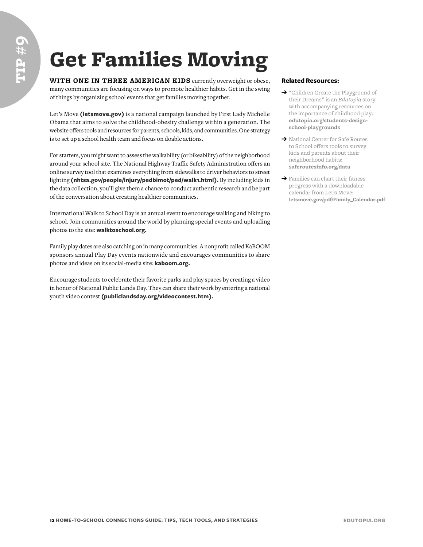# Get Families Moving

**WITH ONE IN THREE AMERICAN KIDS** currently overweight or obese, many communities are focusing on ways to promote healthier habits. Get in the swing of things by organizing school events that get families moving together.

Let's Move **([letsmove.gov\)](http://www.letsmove.gov)** is a national campaign launched by First Lady Michelle Obama that aims to solve the childhood-obesity challenge within a generation. The website offers tools and resources for parents, schools, kids, and communities. One strategy is to set up a school health team and focus on doable actions.

For starters, you might want to assess the walkability (or bikeability) of the neighborhood around your school site. The National Highway Traffic Safety Administration offers an online survey tool that examines everything from sidewalks to driver behaviors to street lighting **[\(nhtsa.gov/people/injury/pedbimot/ped/walk1.html](http://www.nhtsa.gov/people/injury/pedbimot/ped/walk1.html)).** By including kids in the data collection, you'll give them a chance to conduct authentic research and be part of the conversation about creating healthier communities.

International Walk to School Day is an annual event to encourage walking and biking to school. Join communities around the world by planning special events and uploading photos to the site: **[walktoschool.org.](http://www.walktoschool.org)**

Family play dates are also catching on in many communities. A nonprofit called KaBOOM sponsors annual Play Day events nationwide and encourages communities to share photos and ideas on its social-media site: **[kaboom.org.](http://www.kaboom.org)**

Encourage students to celebrate their favorite parks and play spaces by creating a video in honor of National Public Lands Day. They can share their work by entering a national youth video contest **([publiclandsday.org/videocontest.htm](http://www.publiclandsday.org/videocontest.htm)).**

- ➔ "Children Create the Playground of their Dreams" is an *Edutopia* story with accompanying resources on the importance of childhood play: **[edutopia.org/students-design](http://www.edutopia.org/students-design-school-playgrounds)[school-playgrounds](http://www.edutopia.org/students-design-school-playgrounds)**
- ➔ National Center for Safe Routes to School offers tools to survey kids and parents about their neighborhood habits: **[saferoutesinfo.org/data](http://www.saferoutesinfo.org/data)**
- **→** Families can chart their fitness progress with a downloadable calendar from Let's Move: **[letsmove.gov/pdf/Family\\_Calendar.pdf](http://www.letsmove.gov/pdf/Family_Calendar.pdf)**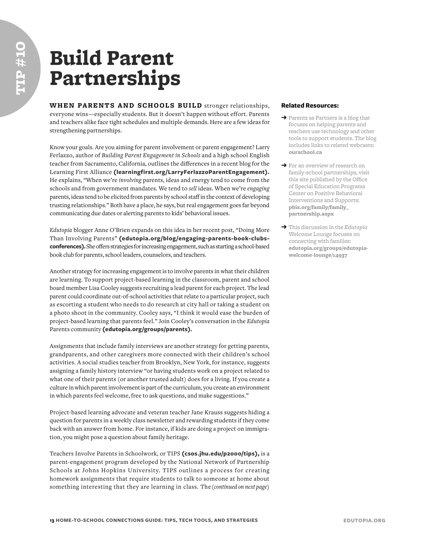### Build Parent Partnerships

**WHEN PARENTS AND SCHOOLS BUILD** stronger relationships, everyone wins—especially students. But it doesn't happen without effort. Parents and teachers alike face tight schedules and multiple demands. Here are a few ideas for strengthening partnerships.

Know your goals. Are you aiming for parent involvement or parent engagement? Larry Ferlazzo, author of *Building Parent Engagement in Schools* and a high school English teacher from Sacramento, California, outlines the differences in a recent blog for the Learning First Alliance **([learningfirst.org /LarryFerlazzoParentEngagement\)](http://www.learningfirst.org/LarryFerlazzoParentEngagement).** He explains, "When we're *involving* parents, ideas and energy tend to come from the schools and from government mandates. We tend to *sell* ideas. When we're *engaging* parents, ideas tend to be elicited from parents by school staff in the context of developing trusting relationships." Both have a place, he says, but real engagement goes far beyond communicating due dates or alerting parents to kids' behavioral issues.

*Edutopia* blogger Anne O'Brien expands on this idea in her recent post, "Doing More Than Involving Parents" **([edutopia.org /blog /engaging-parents-book-clubs](http://www.edutopia.org/blog/engaging-parents-book-clubs-conferences)[conference](http://www.edutopia.org/blog/engaging-parents-book-clubs-conferences)s).** She offers strategies for increasing engagement, such as starting a school-based book club for parents, school leaders, counselors, and teachers.

Another strategy for increasing engagement is to involve parents in what their children are learning. To support project-based learning in the classroom, parent and school board member Lisa Cooley suggests recruiting a lead parent for each project. The lead parent could coordinate out-of-school activities that relate to a particular project, such as escorting a student who needs to do research at city hall or taking a student on a photo shoot in the community. Cooley says, "I think it would ease the burden of project-based learning that parents feel." Join Cooley's conversation in the *Edutopia* Parents community **[\(edutopia.org/groups/parents\)](http://www.edutopia.org/groups/parents).**

Assignments that include family interviews are another strategy for getting parents, grandparents, and other caregivers more connected with their children's school activities. A social studies teacher from Brooklyn, New York, for instance, suggests assigning a family history interview "or having students work on a project related to what one of their parents (or another trusted adult) does for a living. If you create a culture in which parent involvement is part of the curriculum, you create an environment in which parents feel welcome, free to ask questions, and make suggestions."

Project-based learning advocate and veteran teacher Jane Krauss suggests hiding a question for parents in a weekly class newsletter and rewarding students if they come back with an answer from home. For instance, if kids are doing a project on immigration, you might pose a question about family heritage.

Teachers Involve Parents in Schoolwork, or TIPS **[\(csos.jhu.edu/p2000/tips](http://www.csos.jhu.edu/p2000/tips)),** is a parent-engagement program developed by the National Network of Partnership Schools at Johns Hopkins University. TIPS outlines a process for creating homework assignments that require students to talk to someone at home about something interesting that they are learning in class. The *(continued on next page)*

- ➔ Parents as Partners is a blog that focuses on helping parents and teachers use technology and other tools to support students. The blog includes links to related webcasts: **[ourschool.ca](http://www.ourschool.ca)**
- ➔ For an overview of research on family-school partnerships, visit this site published by the Office of Special Education Programs Center on Positive Behavioral Interventions and Supports: **[pbis.org/family/family\\_](http://www.pbis.org/family/family_partnership.aspx) [partnership.aspx](http://www.pbis.org/family/family_partnership.aspx)**
- ➔ This discussion in the *Edutopia* Welcome Lounge focuses on connecting with families: **[edutopia.org/groups/edutopia](http://www.edutopia.org/groups/edutopia-welcome-lounge/14937)[welcome-lounge/14937](http://www.edutopia.org/groups/edutopia-welcome-lounge/14937)**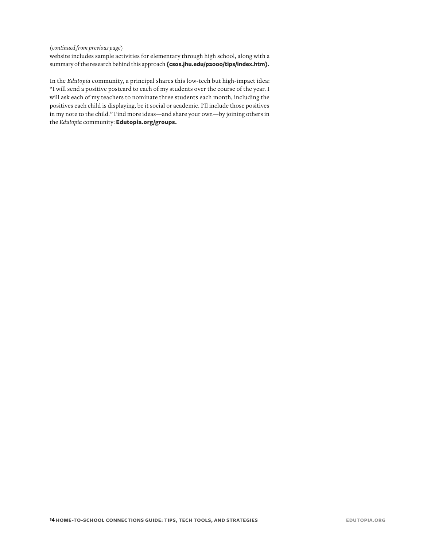#### *(continued from previous page)*

website includes sample activities for elementary through high school, along with a summary of the research behind this approach **([csos.jhu.edu/p2000/tips/index.htm\)](http://www.csos.jhu.edu/p2000/tips/index.htm).**

In the *Edutopia* community, a principal shares this low-tech but high-impact idea: "I will send a positive postcard to each of my students over the course of the year. I will ask each of my teachers to nominate three students each month, including the positives each child is displaying, be it social or academic. I'll include those positives in my note to the child." Find more ideas—and share your own—by joining others in the *Edutopia* community: **[Edutopia.org/groups](http://www.Edutopia.org/groups).**